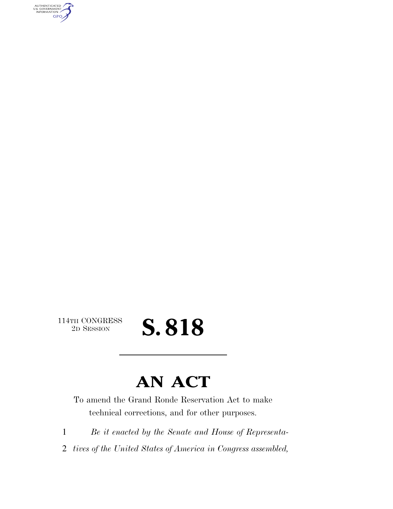AUTHENTICATED<br>U.S. GOVERNMENT<br>INFORMATION **GPO** 

 $\begin{array}{c} \textbf{114TH CONGRESS} \\ \textbf{2D} \textbf{Session} \end{array}$ 

## 2D SESSION **S. 818**

## **AN ACT**

To amend the Grand Ronde Reservation Act to make technical corrections, and for other purposes.

1 *Be it enacted by the Senate and House of Representa-*

2 *tives of the United States of America in Congress assembled,*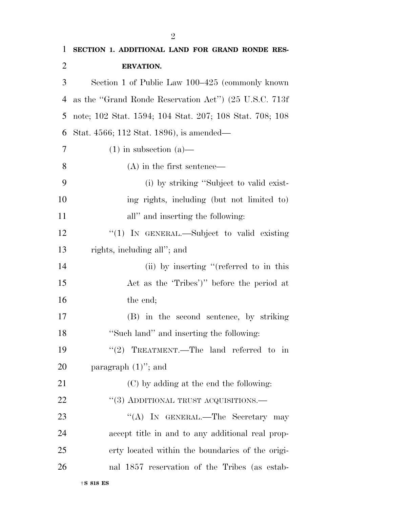| $\mathbf{1}$   | SECTION 1. ADDITIONAL LAND FOR GRAND RONDE RES-         |
|----------------|---------------------------------------------------------|
| $\overline{2}$ | <b>ERVATION.</b>                                        |
| 3              | Section 1 of Public Law 100–425 (commonly known         |
| 4              | as the "Grand Ronde Reservation Act") (25 U.S.C. 713f   |
| 5              | note; 102 Stat. 1594; 104 Stat. 207; 108 Stat. 708; 108 |
| 6              | Stat. 4566; 112 Stat. 1896), is amended—                |
| 7              | $(1)$ in subsection $(a)$ —                             |
| 8              | $(A)$ in the first sentence—                            |
| 9              | (i) by striking "Subject to valid exist-                |
| 10             | ing rights, including (but not limited to)              |
| 11             | all" and inserting the following:                       |
| 12             | "(1) IN GENERAL.—Subject to valid existing              |
| 13             | rights, including all"; and                             |
| 14             | (ii) by inserting "(referred to in this                 |
| 15             | Act as the 'Tribes')" before the period at              |
| 16             | the end;                                                |
| 17             | (B) in the second sentence, by striking                 |
| 18             | "Such land" and inserting the following:                |
| 19             | "(2) TREATMENT.—The land referred to in                 |
| 20             | paragraph $(1)$ "; and                                  |
| 21             | (C) by adding at the end the following:                 |
| 22             | "(3) ADDITIONAL TRUST ACQUISITIONS.—                    |
| 23             | "(A) IN GENERAL.—The Secretary may                      |
| 24             | accept title in and to any additional real prop-        |
| 25             | erty located within the boundaries of the origi-        |
| 26             | nal 1857 reservation of the Tribes (as estab-           |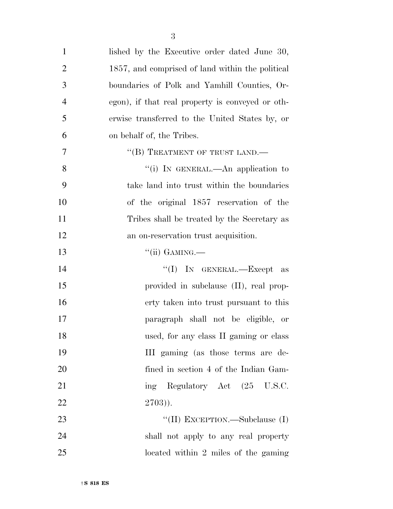| $\mathbf{1}$   | lished by the Executive order dated June 30,     |
|----------------|--------------------------------------------------|
| $\overline{2}$ | 1857, and comprised of land within the political |
| 3              | boundaries of Polk and Yamhill Counties, Or-     |
| $\overline{4}$ | egon), if that real property is conveyed or oth- |
| 5              | erwise transferred to the United States by, or   |
| 6              | on behalf of, the Tribes.                        |
| 7              | "(B) TREATMENT OF TRUST LAND.—                   |
| 8              | "(i) IN GENERAL.—An application to               |
| 9              | take land into trust within the boundaries       |
| 10             | of the original 1857 reservation of the          |
| 11             | Tribes shall be treated by the Secretary as      |
| 12             | an on-reservation trust acquisition.             |
| 13             | $``(ii)$ GAMING.—                                |
| 14             | "(I) IN GENERAL.—Except as                       |
| 15             | provided in subclause (II), real prop-           |
| 16             | erty taken into trust pursuant to this           |
| 17             | paragraph shall not be eligible, or              |
| 18             | used, for any class II gaming or class           |
| 19             | III gaming (as those terms are de-               |
| 20             | fined in section 4 of the Indian Gam-            |
| 21             | ing Regulatory Act (25 U.S.C.                    |
| 22             | $2703)$ ).                                       |
| 23             | "(II) EXCEPTION.—Subclause (I)                   |
| 24             | shall not apply to any real property             |
| 25             | located within 2 miles of the gaming             |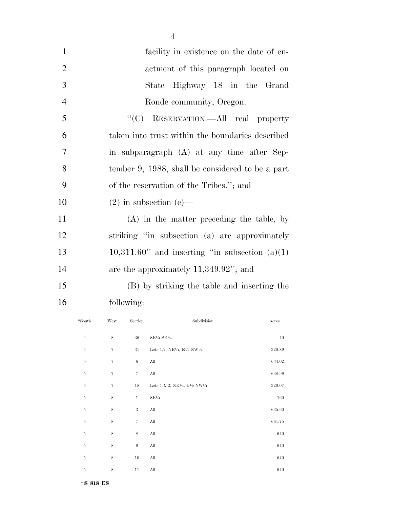| $\mathbf{1}$   | facility in existence on the date of en-            |
|----------------|-----------------------------------------------------|
| $\overline{2}$ | actment of this paragraph located on                |
| 3              | Highway 18 in the Grand<br>State                    |
| $\overline{4}$ | Ronde community, Oregon.                            |
| 5              | "(C) RESERVATION.—All real property                 |
| 6              | taken into trust within the boundaries described    |
| 7              | in subparagraph (A) at any time after Sep-          |
| 8              | tember 9, 1988, shall be considered to be a part    |
| 9              | of the reservation of the Tribes."; and             |
| 10             | $(2)$ in subsection $(e)$ —                         |
| 11             | (A) in the matter preceding the table, by           |
| 12             | striking "in subsection (a) are approximately       |
| 13             | $10,311.60$ " and inserting "in subsection $(a)(1)$ |
| 14             | are the approximately $11,349.92$ "; and            |
| 15             | (B) by striking the table and inserting the         |
| 16             | following:                                          |

4

| "South         | West              | Section           | Subdivision                                                        | Acres  |
|----------------|-------------------|-------------------|--------------------------------------------------------------------|--------|
| $\,4\,$        | 8                 | $36\,$            | $\mathrm{SE\%}$ SEV <sub>4</sub>                                   | 40     |
| $\overline{4}$ | $\scriptstyle{7}$ | $31\,$            | Lots 1,2, NE $\frac{1}{4}$ , E $\frac{1}{2}$ NW $\frac{1}{4}$      | 320.89 |
| $\rm 5$        | $\scriptstyle{7}$ | $\,6$             | All                                                                | 634.02 |
| $\rm 5$        | 7                 | $\scriptstyle{7}$ | All                                                                | 638.99 |
| $\bf 5$        | $\scriptstyle{7}$ | $18\,$            | Lots 1 & 2, NE <sup>1/4</sup> , E <sup>1/2</sup> NW <sup>1/4</sup> | 320.07 |
| $\rm 5$        | $\,$ 8 $\,$       | $\,1\,$           | $SE\frac{1}{4}$                                                    | 160    |
| $\rm 5$        | $\,$ 8 $\,$       | $\sqrt{3}$        | $\mathop{\rm All}\nolimits$                                        | 635.60 |
| $\rm 5$        | 8                 | $\sqrt{7}$        | $\mathop{\rm All}\nolimits$                                        | 661.75 |
| $\rm 5$        | $\,$ 8 $\,$       | 8                 | All                                                                | 640    |
| $\bf 5$        | 8                 | $\boldsymbol{9}$  | $\mathop{\rm All}\nolimits$                                        | 640    |
| $\rm 5$        | $\,$ 8 $\,$       | $10\,$            | All                                                                | 640    |
| $\rm 5$        | 8                 | 11                | All                                                                | 640    |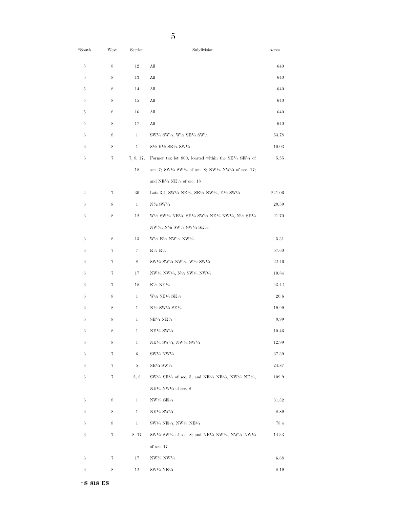| "South         | West | Section      | Subdivision                                                                                                                                                                | Acres  |
|----------------|------|--------------|----------------------------------------------------------------------------------------------------------------------------------------------------------------------------|--------|
| 5              | 8    | 12           | All                                                                                                                                                                        | 640    |
| 5              | 8    | 13           | All                                                                                                                                                                        | 640    |
| 5              | 8    | 14           | All                                                                                                                                                                        | 640    |
| 5              | 8    | 15           | All                                                                                                                                                                        | 640    |
| 5              | 8    | 16           | All                                                                                                                                                                        | 640    |
| 5              | 8    | 17           | All                                                                                                                                                                        | 640    |
| 6              | 8    | $\mathbf{1}$ | SW1/4 SW1/4, W1/2 SE1/4 SW1/4                                                                                                                                              | 53.78  |
| 6              | 8    | $\mathbf{1}$ | $S\frac{1}{2}E\frac{1}{2}SE\frac{1}{4}SW\frac{1}{4}$                                                                                                                       | 10.03  |
| 6              | 7    | 7, 8, 17,    | Former tax lot 800, located within the $SE^{1/4}$ $SE^{1/4}$ of                                                                                                            | 5.55   |
|                |      | 18           | sec. 7; SW1/4 SW1/4 of sec. 8; NW1/4 NW1/4 of sec. 17;                                                                                                                     |        |
|                |      |              | and NE $\frac{1}{4}$ NE $\frac{1}{4}$ of sec. 18                                                                                                                           |        |
| $\overline{4}$ | 7    | 30           | Lots 3,4, SW1/4 NE1/4, SE1/4 NW1/4, E1/2 SW1/4                                                                                                                             | 241.06 |
| 6              | 8    | $\mathbf{1}$ | $N\frac{1}{2}$ SW $\frac{1}{4}$                                                                                                                                            | 29.59  |
| 6              | 8    | 12           | W <sup>1</sup> /2 SW <sup>1</sup> /4 NE <sup>1</sup> /4, SE <sup>1</sup> /4 SW <sup>1</sup> /4 NE <sup>1</sup> /4 NW <sup>1</sup> /4, N <sup>1</sup> /2 SE <sup>1</sup> /4 | 21.70  |
|                |      |              | NW <sup>1</sup> /4, N <sup>1</sup> /2 SW <sup>1</sup> /4 SW <sup>1</sup> /4 SE <sup>1</sup> /4                                                                             |        |
| 6              | 8    | 13           | $W^{1/2} E^{1/2} N W^{1/4} N W^{1/4}$                                                                                                                                      | 5.31   |
| 6              | 7    | 7            | $E\frac{1}{2}E\frac{1}{2}$                                                                                                                                                 | 57.60  |
| 6              | 7    | 8            | SW1/4 SW1/4 NW1/4, W1/2 SW1/4                                                                                                                                              | 22.46  |
| 6              | 7    | 17           | NW <sup>1</sup> /4 NW <sup>1</sup> /4, N <sup>1</sup> /2 SW <sup>1</sup> /4 NW <sup>1</sup> /4                                                                             | 10.84  |
| 6              | 7    | 18           | $E\frac{1}{2}$ NE $\frac{1}{4}$                                                                                                                                            | 43.42  |
| 6              | 8    | $\mathbf{1}$ | $W1/2$ SE <sup>1</sup> / <sub>4</sub> SE <sup>1</sup> / <sub>4</sub>                                                                                                       | 20.6   |
| 6              | 8    | $\mathbf{1}$ | N <sup>1</sup> / <sub>2</sub> SW <sup>1</sup> / <sub>4</sub> SE <sup>1</sup> / <sub>4</sub>                                                                                | 19.99  |
| 6              | 8    | $\mathbf{1}$ | SE½ NE½                                                                                                                                                                    | 9.99   |
| 6              | 8    | 1            | NE½ SW½                                                                                                                                                                    | 10.46  |
| 6              | 8    | $\mathbf{1}$ | NE½ SW½, NW½ SW½                                                                                                                                                           | 12.99  |
| 6              | 7    | 6            | SW1/4 NW1/4                                                                                                                                                                | 37.39  |
| 6              | 7    | 5            | SE½ SW½                                                                                                                                                                    | 24.87  |
| 6              | 7    | 5, 8         | SW <sup>1</sup> /4 SE <sup>1</sup> /4 of sec. 5; and NE <sup>1</sup> /4 NE <sup>1</sup> /4, NW <sup>1</sup> /4 NE <sup>1</sup> /4,                                         | 109.9  |
|                |      |              | $NE1/4$ NW <sup>1/4</sup> of sec. 8                                                                                                                                        |        |
| 6              | 8    | $\mathbf{1}$ | NW1/4 SE1/4                                                                                                                                                                | 31.32  |
| 6              | 8    | $\mathbf{1}$ | NE1/4 SW1/4                                                                                                                                                                | 8.89   |
| 6              | 8    | $\mathbf{1}$ | SW1/4 NE1/4, NW1/4 NE1/4                                                                                                                                                   | 78.4   |
| 6              | 7    | 8, 17        | $SW1/4 SW1/4$ of sec. 8; and NE <sup>1</sup> / <sub>4</sub> NW <sup>1</sup> / <sub>4</sub> , NW <sup>1</sup> / <sub>4</sub> NW <sup>1</sup> / <sub>4</sub>                 | 14.33  |
|                |      |              | of sec. $17$                                                                                                                                                               |        |
| 6              | 7    | 17           | NW1/4 NW1/4                                                                                                                                                                | 6.68   |
| 6              | 8    | 12           | $SW1/4 NE1/4$                                                                                                                                                              | 8.19   |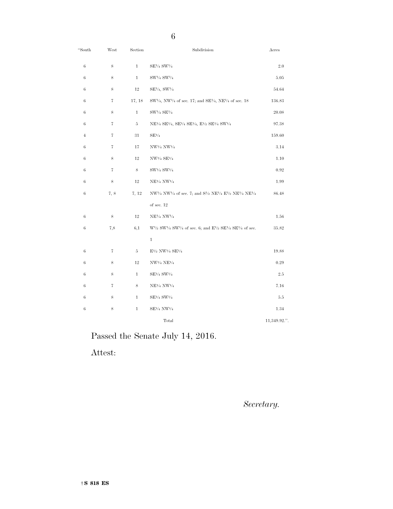| "South         | $\operatorname{West}$ | Section      | Subdivision                                                                                                                                       | Acres        |
|----------------|-----------------------|--------------|---------------------------------------------------------------------------------------------------------------------------------------------------|--------------|
| 6              | 8                     | $\mathbf{1}$ | SE½ SW½                                                                                                                                           | 2.0          |
| $\,6$          | 8                     | $\mathbf{1}$ | SW1/4 SW1/4                                                                                                                                       | 5.05         |
| 6              | 8                     | 12           | SE1/4, SW1/4                                                                                                                                      | 54.64        |
| 6              | 7                     | 17, 18       | $SW1/4$ , NW <sup>1</sup> / <sub>4</sub> of sec. 17; and SE <sup>1</sup> / <sub>4</sub> , NE <sup>1</sup> / <sub>4</sub> of sec. 18               | 136.83       |
| 6              | 8                     | $\mathbf{1}$ | SW1/4 SE1/4                                                                                                                                       | 20.08        |
| $\,6$          | 7                     | $\rm 5$      | NE <sup>1</sup> /4 SE <sup>1</sup> /4, SE <sup>1</sup> /4 SE <sup>1</sup> /4, E <sup>1</sup> /2 SE <sup>1</sup> /4 SW <sup>1</sup> /4             | 97.38        |
| $\overline{4}$ | 7                     | 31           | $\mathrm{SE}^{1\!}/_4$                                                                                                                            | 159.60       |
| 6              | 7                     | 17           | NW1/4 NW1/4                                                                                                                                       | 3.14         |
| 6              | 8                     | 12           | $NW\frac{1}{4} SE\frac{1}{4}$                                                                                                                     | 1.10         |
| 6              | 7                     | 8            | $SW1/4 SW1/4$                                                                                                                                     | $\rm 0.92$   |
| 6              | 8                     | 12           | NE <sup>1/4</sup> NW <sup>1/4</sup>                                                                                                               | 1.99         |
| 6              | 7, 8                  | 7, 12        | NW <sup>1</sup> /4 NW <sup>1</sup> /4 of sec. 7; and S <sup>1</sup> /2 NE <sup>1</sup> /4 E <sup>1</sup> /2 NE <sup>1</sup> /4 NE <sup>1</sup> /4 | 86.48        |
|                |                       |              | of sec. $12\,$                                                                                                                                    |              |
| 6              | 8                     | 12           | NE <sup>1/4</sup> NW <sup>1/4</sup>                                                                                                               | 1.56         |
| 6              | 7,8                   | 6,1          | $W^{1/2}$ SW <sup>1</sup> /4 SW <sup>1</sup> /4 of sec. 6; and E <sup>1</sup> /2 SE <sup>1</sup> /4 SE <sup>1</sup> /4 of sec.                    | 35.82        |
|                |                       |              | $\mathbf{1}$                                                                                                                                      |              |
| 6              | 7                     | 5            | $E^{1/2}$ NW <sup>1/4</sup> SE <sup>1/4</sup>                                                                                                     | 19.88        |
| 6              | 8                     | 12           | $NW1/4 NE1/4$                                                                                                                                     | 0.29         |
| 6              | 8                     | $\mathbf{1}$ | SE1/4 SW1/4                                                                                                                                       | $2.5\,$      |
| $\,6$          | 7                     | 8            | NE <sup>1/4</sup> NW <sup>1/4</sup>                                                                                                               | 7.16         |
| 6              | 8                     | $\mathbf{1}$ | $\mathrm{SE^{1\!}/4}$ $\mathrm{SW^{1\!}/4}$                                                                                                       | 5.5          |
| 6              | 8                     | $\mathbf{1}$ | SE1/4 NW1/4                                                                                                                                       | 1.34         |
|                |                       |              | Total                                                                                                                                             | 11,349.92.". |

Passed the Senate July 14, 2016.

Attest:

*Secretary.*